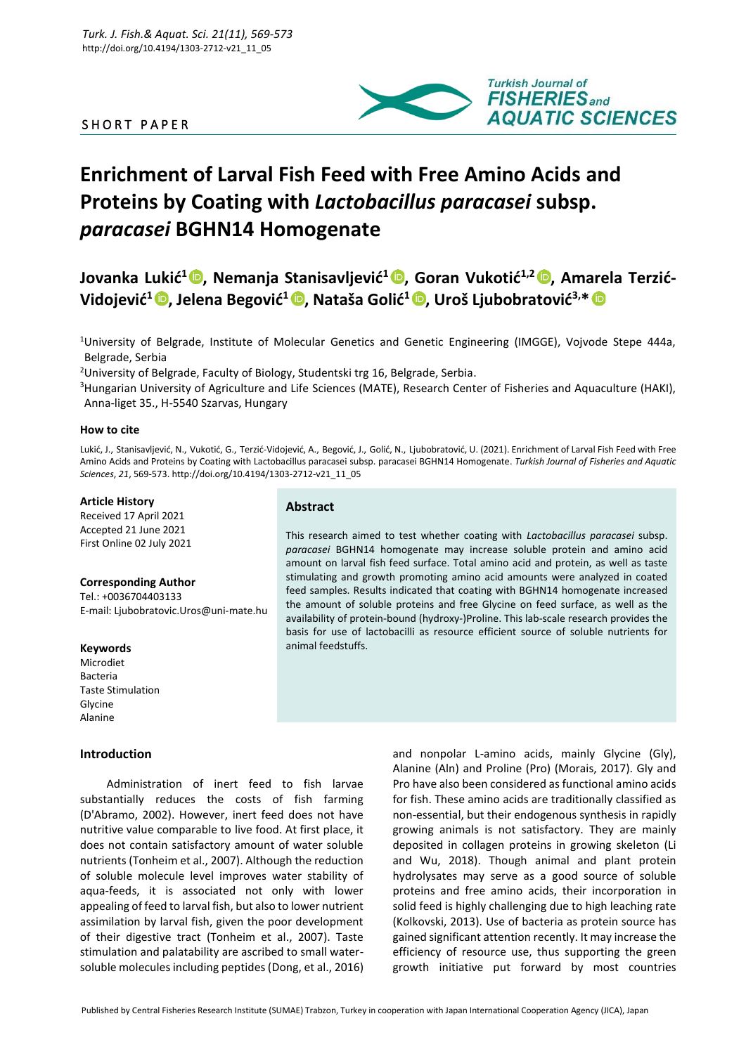# SHORT PAPER



# **Enrichment of Larval Fish Feed with Free Amino Acids and Proteins by Coating with** *Lactobacillus paracasei* **subsp.**  *paracasei* **BGHN14 Homogenate**

**Jovanka Lukić<sup>1</sup> [,](https://orcid.org/0000-0002-4959-2057) Nemanja Stanisavljević<sup>1</sup> [,](https://orcid.org/0000-0001-5576-1833) Goran Vukotić1,2 [,](https://orcid.org/0000-0001-9343-6214) Amarela Terzić-Vidojević<sup>1</sup> [,](https://orcid.org/0000-0003-2919-7057) Jelena Begović<sup>1</sup> , Nataša Golić<sup>1</sup> [,](https://orcid.org/0000-0001-7419-9743) Uroš Ljubobratović3,\***

<sup>1</sup>University of Belgrade, Institute of Molecular Genetics and Genetic Engineering (IMGGE), Vojvode Stepe 444a, Belgrade, Serbia

<sup>2</sup>University of Belgrade, Faculty of Biology, Studentski trg 16, Belgrade, Serbia.

<sup>3</sup>Hungarian University of Agriculture and Life Sciences (MATE), Research Center of Fisheries and Aquaculture (HAKI), Anna-liget 35., H-5540 Szarvas, Hungary

## **How to cite**

Lukić, J., Stanisavljević, N., Vukotić, G., Terzić-Vidojević, A., Begović, J., Golić, N., Ljubobratović, U. (2021). Enrichment of Larval Fish Feed with Free Amino Acids and Proteins by Coating with Lactobacillus paracasei subsp. paracasei BGHN14 Homogenate. *Turkish Journal of Fisheries and Aquatic Sciences*, *21*, 569-573. http://doi.org/10.4194/1303-2712-v21\_11\_05

## **Article History**

Received 17 April 2021 Accepted 21 June 2021 First Online 02 July 2021

#### **Corresponding Author**

Tel.: +0036704403133 E-mail: Ljubobratovic.Uros@uni-mate.hu

#### **Keywords**

Microdiet Bacteria Taste Stimulation Glycine Alanine

# **Introduction**

Administration of inert feed to fish larvae substantially reduces the costs of fish farming (D'Abramo, 2002). However, inert feed does not have nutritive value comparable to live food. At first place, it does not contain satisfactory amount of water soluble nutrients (Tonheim et al., 2007). Although the reduction of soluble molecule level improves water stability of aqua-feeds, it is associated not only with lower appealing of feed to larval fish, but also to lower nutrient assimilation by larval fish, given the poor development of their digestive tract (Tonheim et al., 2007). Taste stimulation and palatability are ascribed to small watersoluble molecules including peptides (Dong, et al., 2016)

# **Abstract**

This research aimed to test whether coating with *Lactobacillus paracasei* subsp. *paracasei* BGHN14 homogenate may increase soluble protein and amino acid amount on larval fish feed surface. Total amino acid and protein, as well as taste stimulating and growth promoting amino acid amounts were analyzed in coated feed samples. Results indicated that coating with BGHN14 homogenate increased the amount of soluble proteins and free Glycine on feed surface, as well as the availability of protein-bound (hydroxy-)Proline. This lab-scale research provides the basis for use of lactobacilli as resource efficient source of soluble nutrients for animal feedstuffs.

> and nonpolar L-amino acids, mainly Glycine (Gly), Alanine (Aln) and Proline (Pro) (Morais, 2017). Gly and Pro have also been considered as functional amino acids for fish. These amino acids are traditionally classified as non-essential, but their endogenous synthesis in rapidly growing animals is not satisfactory. They are mainly deposited in collagen proteins in growing skeleton (Li and Wu, 2018). Though animal and plant protein hydrolysates may serve as a good source of soluble proteins and free amino acids, their incorporation in solid feed is highly challenging due to high leaching rate (Kolkovski, 2013). Use of bacteria as protein source has gained significant attention recently. It may increase the efficiency of resource use, thus supporting the green growth initiative put forward by most countries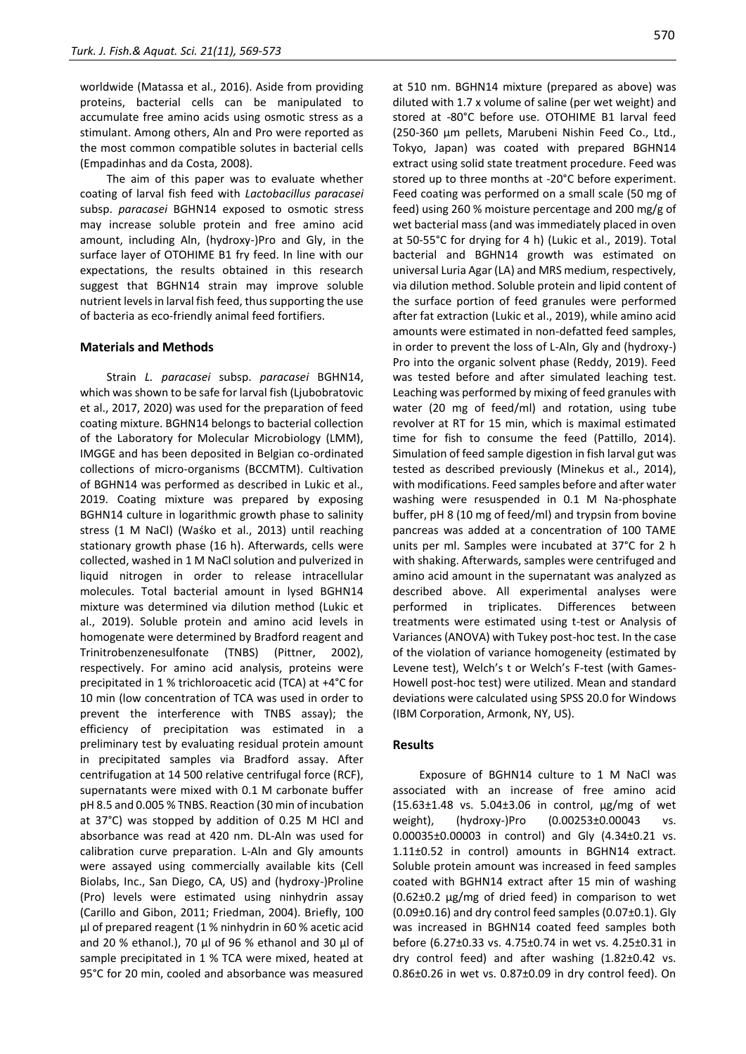worldwide (Matassa et al., 2016). Aside from providing proteins, bacterial cells can be manipulated to accumulate free amino acids using osmotic stress as a stimulant. Among others, Aln and Pro were reported as the most common compatible solutes in bacterial cells (Empadinhas and da Costa, 2008).

The aim of this paper was to evaluate whether coating of larval fish feed with *Lactobacillus paracasei* subsp. *paracasei* BGHN14 exposed to osmotic stress may increase soluble protein and free amino acid amount, including Aln, (hydroxy-)Pro and Gly, in the surface layer of OTOHIME B1 fry feed. In line with our expectations, the results obtained in this research suggest that BGHN14 strain may improve soluble nutrient levels in larval fish feed, thus supporting the use of bacteria as eco-friendly animal feed fortifiers.

# **Materials and Methods**

Strain *L. paracasei* subsp. *paracasei* BGHN14, which was shown to be safe for larval fish (Ljubobratovic et al., 2017, 2020) was used for the preparation of feed coating mixture. BGHN14 belongs to bacterial collection of the Laboratory for Molecular Microbiology (LMM), IMGGE and has been deposited in Belgian co-ordinated collections of micro-organisms (BCCMTM). Cultivation of BGHN14 was performed as described in Lukic et al., 2019. Coating mixture was prepared by exposing BGHN14 culture in logarithmic growth phase to salinity stress (1 M NaCl) (Waśko et al., 2013) until reaching stationary growth phase (16 h). Afterwards, cells were collected, washed in 1 M NaCl solution and pulverized in liquid nitrogen in order to release intracellular molecules. Total bacterial amount in lysed BGHN14 mixture was determined via dilution method (Lukic et al., 2019). Soluble protein and amino acid levels in homogenate were determined by Bradford reagent and Trinitrobenzenesulfonate (TNBS) (Pittner, 2002), respectively. For amino acid analysis, proteins were precipitated in 1 % trichloroacetic acid (TCA) at +4°C for 10 min (low concentration of TCA was used in order to prevent the interference with TNBS assay); the efficiency of precipitation was estimated in a preliminary test by evaluating residual protein amount in precipitated samples via Bradford assay. After centrifugation at 14 500 relative centrifugal force (RCF), supernatants were mixed with 0.1 M carbonate buffer pH 8.5 and 0.005 % TNBS. Reaction (30 min of incubation at 37°C) was stopped by addition of 0.25 M HCl and absorbance was read at 420 nm. DL-Aln was used for calibration curve preparation. L-Aln and Gly amounts were assayed using commercially available kits (Cell Biolabs, Inc., San Diego, CA, US) and (hydroxy-)Proline (Pro) levels were estimated using ninhydrin assay (Carillo and Gibon, 2011; Friedman, 2004). Briefly, 100 µl of prepared reagent (1 % ninhydrin in 60 % acetic acid and 20 % ethanol.), 70 µl of 96 % ethanol and 30 µl of sample precipitated in 1 % TCA were mixed, heated at 95°C for 20 min, cooled and absorbance was measured at 510 nm. BGHN14 mixture (prepared as above) was diluted with 1.7 x volume of saline (per wet weight) and stored at -80°C before use. OTOHIME B1 larval feed (250-360 µm pellets, Marubeni Nishin Feed Co., Ltd., Tokyo, Japan) was coated with prepared BGHN14 extract using solid state treatment procedure. Feed was stored up to three months at -20°C before experiment. Feed coating was performed on a small scale (50 mg of feed) using 260 % moisture percentage and 200 mg/g of wet bacterial mass (and was immediately placed in oven at 50-55°C for drying for 4 h) (Lukic et al., 2019). Total bacterial and BGHN14 growth was estimated on universal Luria Agar (LA) and MRS medium, respectively, via dilution method. Soluble protein and lipid content of the surface portion of feed granules were performed after fat extraction (Lukic et al., 2019), while amino acid amounts were estimated in non-defatted feed samples, in order to prevent the loss of L-Aln, Gly and (hydroxy-) Pro into the organic solvent phase (Reddy, 2019). Feed was tested before and after simulated leaching test. Leaching was performed by mixing of feed granules with water (20 mg of feed/ml) and rotation, using tube revolver at RT for 15 min, which is maximal estimated time for fish to consume the feed (Pattillo, 2014). Simulation of feed sample digestion in fish larval gut was tested as described previously (Minekus et al., 2014), with modifications. Feed samples before and after water washing were resuspended in 0.1 M Na-phosphate buffer, pH 8 (10 mg of feed/ml) and trypsin from bovine pancreas was added at a concentration of 100 TAME units per ml. Samples were incubated at 37°C for 2 h with shaking. Afterwards, samples were centrifuged and amino acid amount in the supernatant was analyzed as described above. All experimental analyses were performed in triplicates. Differences between treatments were estimated using t-test or Analysis of Variances (ANOVA) with Tukey post-hoc test. In the case of the violation of variance homogeneity (estimated by Levene test), Welch's t or Welch's F-test (with Games-Howell post-hoc test) were utilized. Mean and standard deviations were calculated using SPSS 20.0 for Windows (IBM Corporation, Armonk, NY, US).

# **Results**

Exposure of BGHN14 culture to 1 M NaCl was associated with an increase of free amino acid (15.63±1.48 vs. 5.04±3.06 in control, µg/mg of wet weight), (hydroxy-)Pro (0.00253±0.00043 vs. 0.00035±0.00003 in control) and Gly (4.34±0.21 vs. 1.11±0.52 in control) amounts in BGHN14 extract. Soluble protein amount was increased in feed samples coated with BGHN14 extract after 15 min of washing (0.62±0.2 µg/mg of dried feed) in comparison to wet  $(0.09\pm0.16)$  and dry control feed samples  $(0.07\pm0.1)$ . Gly was increased in BGHN14 coated feed samples both before (6.27±0.33 vs. 4.75±0.74 in wet vs. 4.25±0.31 in dry control feed) and after washing (1.82±0.42 vs. 0.86±0.26 in wet vs. 0.87±0.09 in dry control feed). On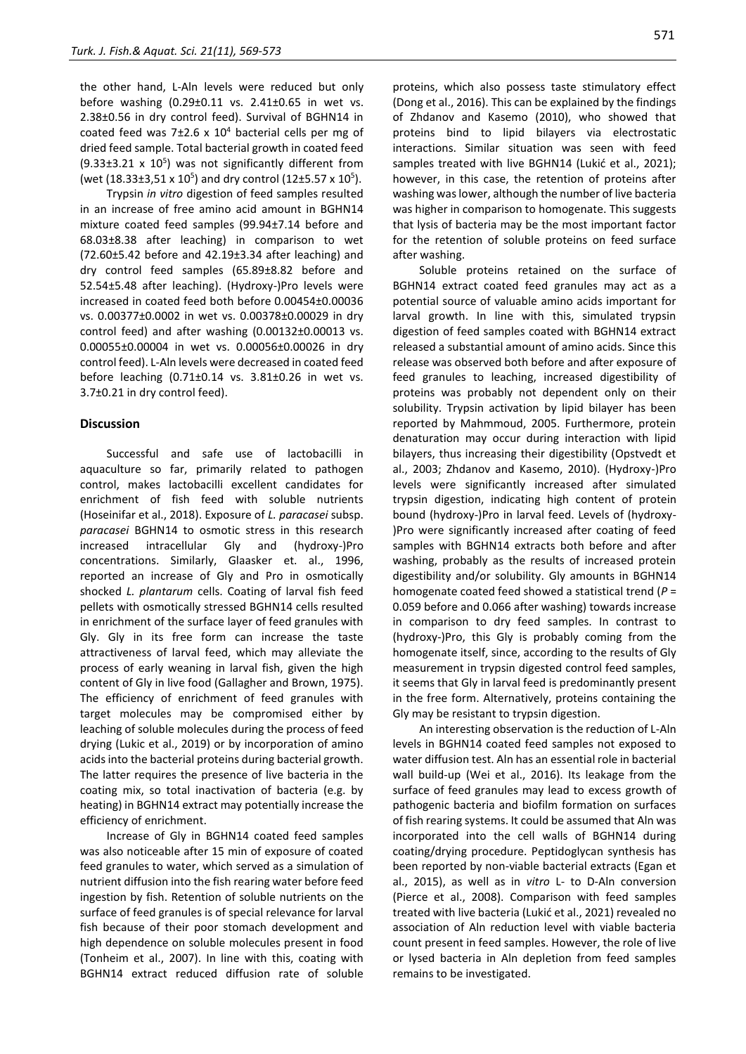the other hand, L-Aln levels were reduced but only before washing (0.29±0.11 vs. 2.41±0.65 in wet vs. 2.38±0.56 in dry control feed). Survival of BGHN14 in coated feed was 7 $\pm$ 2.6 x 10<sup>4</sup> bacterial cells per mg of dried feed sample. Total bacterial growth in coated feed  $(9.33\pm3.21 \times 10^5)$  was not significantly different from (wet  $(18.33\pm3.51 \times 10^5)$  and dry control  $(12\pm5.57 \times 10^5)$ .

Trypsin *in vitro* digestion of feed samples resulted in an increase of free amino acid amount in BGHN14 mixture coated feed samples (99.94±7.14 before and 68.03±8.38 after leaching) in comparison to wet (72.60±5.42 before and 42.19±3.34 after leaching) and dry control feed samples (65.89±8.82 before and 52.54±5.48 after leaching). (Hydroxy-)Pro levels were increased in coated feed both before 0.00454±0.00036 vs. 0.00377±0.0002 in wet vs. 0.00378±0.00029 in dry control feed) and after washing (0.00132±0.00013 vs. 0.00055±0.00004 in wet vs. 0.00056±0.00026 in dry control feed). L-Aln levels were decreased in coated feed before leaching (0.71±0.14 vs. 3.81±0.26 in wet vs. 3.7±0.21 in dry control feed).

#### **Discussion**

Successful and safe use of lactobacilli in aquaculture so far, primarily related to pathogen control, makes lactobacilli excellent candidates for enrichment of fish feed with soluble nutrients (Hoseinifar et al., 2018). Exposure of *L. paracasei* subsp. *paracasei* BGHN14 to osmotic stress in this research increased intracellular Gly and (hydroxy-)Pro concentrations. Similarly, Glaasker et. al., 1996, reported an increase of Gly and Pro in osmotically shocked *L. plantarum* cells. Coating of larval fish feed pellets with osmotically stressed BGHN14 cells resulted in enrichment of the surface layer of feed granules with Gly. Gly in its free form can increase the taste attractiveness of larval feed, which may alleviate the process of early weaning in larval fish, given the high content of Gly in live food (Gallagher and Brown, 1975). The efficiency of enrichment of feed granules with target molecules may be compromised either by leaching of soluble molecules during the process of feed drying (Lukic et al., 2019) or by incorporation of amino acids into the bacterial proteins during bacterial growth. The latter requires the presence of live bacteria in the coating mix, so total inactivation of bacteria (e.g. by heating) in BGHN14 extract may potentially increase the efficiency of enrichment.

Increase of Gly in BGHN14 coated feed samples was also noticeable after 15 min of exposure of coated feed granules to water, which served as a simulation of nutrient diffusion into the fish rearing water before feed ingestion by fish. Retention of soluble nutrients on the surface of feed granules is of special relevance for larval fish because of their poor stomach development and high dependence on soluble molecules present in food (Tonheim et al., 2007). In line with this, coating with BGHN14 extract reduced diffusion rate of soluble proteins, which also possess taste stimulatory effect (Dong et al., 2016). This can be explained by the findings of Zhdanov and Kasemo (2010), who showed that proteins bind to lipid bilayers via electrostatic interactions. Similar situation was seen with feed samples treated with live BGHN14 (Lukić et al., 2021); however, in this case, the retention of proteins after washing was lower, although the number of live bacteria was higher in comparison to homogenate. This suggests that lysis of bacteria may be the most important factor for the retention of soluble proteins on feed surface after washing.

Soluble proteins retained on the surface of BGHN14 extract coated feed granules may act as a potential source of valuable amino acids important for larval growth. In line with this, simulated trypsin digestion of feed samples coated with BGHN14 extract released a substantial amount of amino acids. Since this release was observed both before and after exposure of feed granules to leaching, increased digestibility of proteins was probably not dependent only on their solubility. Trypsin activation by lipid bilayer has been reported by Mahmmoud, 2005. Furthermore, protein denaturation may occur during interaction with lipid bilayers, thus increasing their digestibility (Opstvedt et al., 2003; Zhdanov and Kasemo, 2010). (Hydroxy-)Pro levels were significantly increased after simulated trypsin digestion, indicating high content of protein bound (hydroxy-)Pro in larval feed. Levels of (hydroxy- )Pro were significantly increased after coating of feed samples with BGHN14 extracts both before and after washing, probably as the results of increased protein digestibility and/or solubility. Gly amounts in BGHN14 homogenate coated feed showed a statistical trend (*P* = 0.059 before and 0.066 after washing) towards increase in comparison to dry feed samples. In contrast to (hydroxy-)Pro, this Gly is probably coming from the homogenate itself, since, according to the results of Gly measurement in trypsin digested control feed samples, it seems that Gly in larval feed is predominantly present in the free form. Alternatively, proteins containing the Gly may be resistant to trypsin digestion.

An interesting observation is the reduction of L-Aln levels in BGHN14 coated feed samples not exposed to water diffusion test. Aln has an essential role in bacterial wall build-up (Wei et al., 2016). Its leakage from the surface of feed granules may lead to excess growth of pathogenic bacteria and biofilm formation on surfaces of fish rearing systems. It could be assumed that Aln was incorporated into the cell walls of BGHN14 during coating/drying procedure. Peptidoglycan synthesis has been reported by non-viable bacterial extracts (Egan et al., 2015), as well as in *vitro* L- to D-Aln conversion (Pierce et al., 2008). Comparison with feed samples treated with live bacteria (Lukić et al., 2021) revealed no association of Aln reduction level with viable bacteria count present in feed samples. However, the role of live or lysed bacteria in Aln depletion from feed samples remains to be investigated.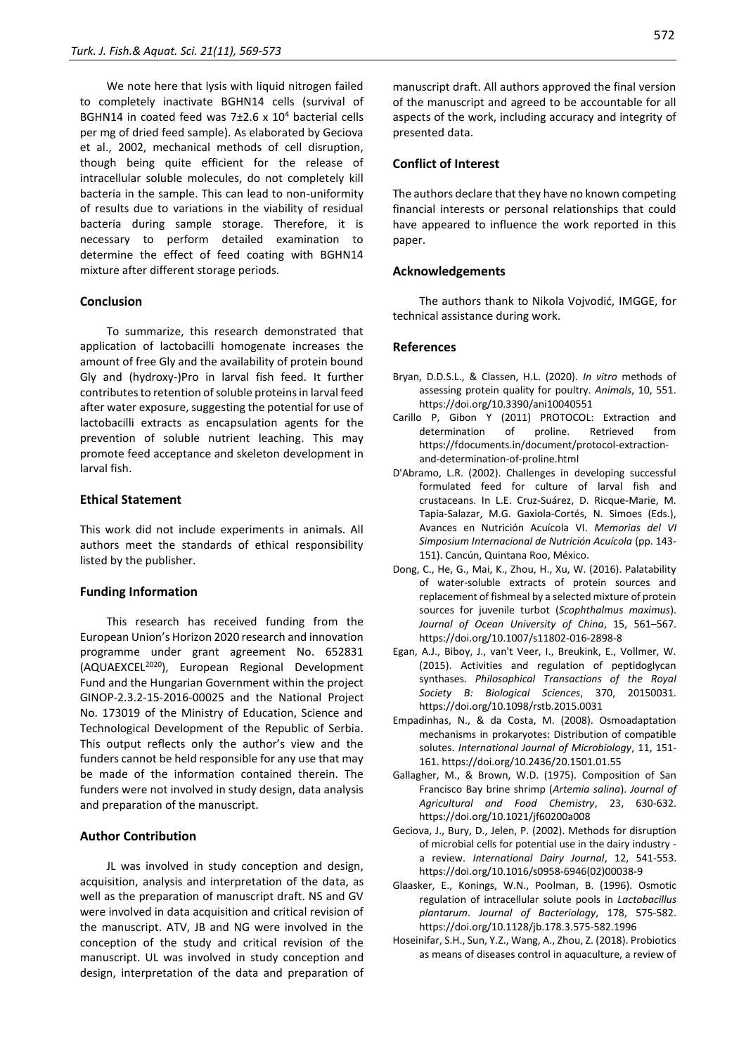We note here that lysis with liquid nitrogen failed to completely inactivate BGHN14 cells (survival of BGHN14 in coated feed was  $7\pm2.6 \times 10^4$  bacterial cells per mg of dried feed sample). As elaborated by Geciova et al., 2002, mechanical methods of cell disruption, though being quite efficient for the release of intracellular soluble molecules, do not completely kill bacteria in the sample. This can lead to non-uniformity of results due to variations in the viability of residual bacteria during sample storage. Therefore, it is necessary to perform detailed examination to determine the effect of feed coating with BGHN14 mixture after different storage periods.

# **Conclusion**

To summarize, this research demonstrated that application of lactobacilli homogenate increases the amount of free Gly and the availability of protein bound Gly and (hydroxy-)Pro in larval fish feed. It further contributes to retention of soluble proteins in larval feed after water exposure, suggesting the potential for use of lactobacilli extracts as encapsulation agents for the prevention of soluble nutrient leaching. This may promote feed acceptance and skeleton development in larval fish.

# **Ethical Statement**

This work did not include experiments in animals. All authors meet the standards of ethical responsibility listed by the publisher.

#### **Funding Information**

This research has received funding from the European Union's Horizon 2020 research and innovation programme under grant agreement No. 652831 (AQUAEXCEL<sup>2020</sup>), European Regional Development Fund and the Hungarian Government within the project GINOP-2.3.2-15-2016-00025 and the National Project No. 173019 of the Ministry of Education, Science and Technological Development of the Republic of Serbia. This output reflects only the author's view and the funders cannot be held responsible for any use that may be made of the information contained therein. The funders were not involved in study design, data analysis and preparation of the manuscript.

## **Author Contribution**

JL was involved in study conception and design, acquisition, analysis and interpretation of the data, as well as the preparation of manuscript draft. NS and GV were involved in data acquisition and critical revision of the manuscript. ATV, JB and NG were involved in the conception of the study and critical revision of the manuscript. UL was involved in study conception and design, interpretation of the data and preparation of manuscript draft. All authors approved the final version of the manuscript and agreed to be accountable for all aspects of the work, including accuracy and integrity of presented data.

#### **Conflict of Interest**

The authors declare that they have no known competing financial interests or personal relationships that could have appeared to influence the work reported in this paper.

## **Acknowledgements**

The authors thank to Nikola Vojvodić, IMGGE, for technical assistance during work.

# **References**

- Bryan, D.D.S.L., & Classen, H.L. (2020). *In vitro* methods of assessing protein quality for poultry. *Animals*, 10, 551. https://doi.org/10.3390/ani10040551
- Carillo P, Gibon Y (2011) PROTOCOL: Extraction and determination of proline. Retrieved from https://fdocuments.in/document/protocol-extractionand-determination-of-proline.html
- D'Abramo, L.R. (2002). Challenges in developing successful formulated feed for culture of larval fish and crustaceans. In L.E. Cruz-Suárez, D. Ricque-Marie, M. Tapia-Salazar, M.G. Gaxiola-Cortés, N. Simoes (Eds.), Avances en Nutrición Acuícola VI. *Memorias del VI Simposium Internacional de Nutrición Acuícola* (pp. 143- 151). Cancún, Quintana Roo, México.
- Dong, C., He, G., Mai, K., Zhou, H., Xu, W. (2016). Palatability of water-soluble extracts of protein sources and replacement of fishmeal by a selected mixture of protein sources for juvenile turbot (*Scophthalmus maximus*). *Journal of Ocean University of China*, 15, 561–567. https://doi.org/10.1007/s11802-016-2898-8
- Egan, A.J., Biboy, J., van't Veer, I., Breukink, E., Vollmer, W. (2015). Activities and regulation of peptidoglycan synthases. *Philosophical Transactions of the Royal Society B: Biological Sciences*, 370, 20150031. https://doi.org/10.1098/rstb.2015.0031
- Empadinhas, N., & da Costa, M. (2008). Osmoadaptation mechanisms in prokaryotes: Distribution of compatible solutes. *International Journal of Microbiology*, 11, 151- 161. https://doi.org/10.2436/20.1501.01.55
- Gallagher, M., & Brown, W.D. (1975). Composition of San Francisco Bay brine shrimp (*Artemia salina*). *Journal of Agricultural and Food Chemistry*, 23, 630-632. https://doi.org/10.1021/jf60200a008
- Geciova, J., Bury, D., Jelen, P. (2002). Methods for disruption of microbial cells for potential use in the dairy industry a review. *International Dairy Journal*, 12, 541-553. https://doi.org/10.1016/s0958-6946(02)00038-9
- Glaasker, E., Konings, W.N., Poolman, B. (1996). Osmotic regulation of intracellular solute pools in *Lactobacillus plantarum*. *Journal of Bacteriology*, 178, 575-582. https://doi.org/10.1128/jb.178.3.575-582.1996
- Hoseinifar, S.H., Sun, Y.Z., Wang, A., Zhou, Z. (2018). Probiotics as means of diseases control in aquaculture, a review of